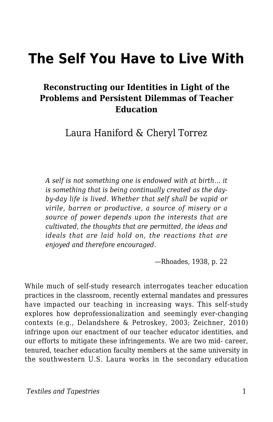# **The Self You Have to Live With**

#### **Reconstructing our Identities in Light of the Problems and Persistent Dilemmas of Teacher Education**

Laura Haniford & Cheryl Torrez

*A self is not something one is endowed with at birth… it is something that is being continually created as the dayby-day life is lived. Whether that self shall be vapid or virile, barren or productive, a source of misery or a source of power depends upon the interests that are cultivated, the thoughts that are permitted, the ideas and ideals that are laid hold on, the reactions that are enjoyed and therefore encouraged.*

—Rhoades, 1938, p. 22

While much of self-study research interrogates teacher education practices in the classroom, recently external mandates and pressures have impacted our teaching in increasing ways. This self-study explores how deprofessionalization and seemingly ever-changing contexts (e.g., Delandshere & Petroskey, 2003; Zeichner, 2010) infringe upon our enactment of our teacher educator identities, and our efforts to mitigate these infringements. We are two mid- career, tenured, teacher education faculty members at the same university in the southwestern U.S. Laura works in the secondary education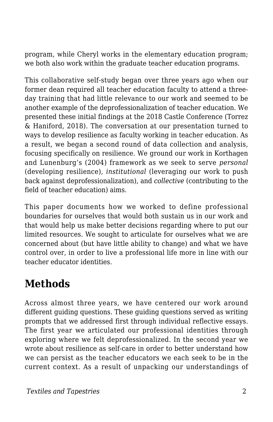program, while Cheryl works in the elementary education program; we both also work within the graduate teacher education programs.

This collaborative self-study began over three years ago when our former dean required all teacher education faculty to attend a threeday training that had little relevance to our work and seemed to be another example of the deprofessionalization of teacher education. We presented these initial findings at the 2018 Castle Conference (Torrez & Haniford, 2018). The conversation at our presentation turned to ways to develop resilience as faculty working in teacher education. As a result, we began a second round of data collection and analysis, focusing specifically on resilience. We ground our work in Korthagen and Lunenburg's (2004) framework as we seek to serve *personal* (developing resilience), *institutional* (leveraging our work to push back against deprofessionalization), and *collective* (contributing to the field of teacher education) aims.

This paper documents how we worked to define professional boundaries for ourselves that would both sustain us in our work and that would help us make better decisions regarding where to put our limited resources. We sought to articulate for ourselves what we are concerned about (but have little ability to change) and what we have control over, in order to live a professional life more in line with our teacher educator identities.

# **Methods**

Across almost three years, we have centered our work around different guiding questions. These guiding questions served as writing prompts that we addressed first through individual reflective essays. The first year we articulated our professional identities through exploring where we felt deprofessionalized. In the second year we wrote about resilience as self-care in order to better understand how we can persist as the teacher educators we each seek to be in the current context. As a result of unpacking our understandings of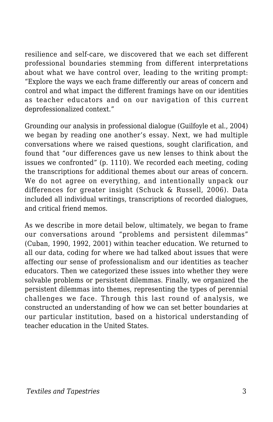resilience and self-care, we discovered that we each set different professional boundaries stemming from different interpretations about what we have control over, leading to the writing prompt: "Explore the ways we each frame differently our areas of concern and control and what impact the different framings have on our identities as teacher educators and on our navigation of this current deprofessionalized context."

Grounding our analysis in professional dialogue (Guilfoyle et al., 2004) we began by reading one another's essay. Next, we had multiple conversations where we raised questions, sought clarification, and found that "our differences gave us new lenses to think about the issues we confronted" (p. 1110). We recorded each meeting, coding the transcriptions for additional themes about our areas of concern. We do not agree on everything, and intentionally unpack our differences for greater insight (Schuck & Russell, 2006). Data included all individual writings, transcriptions of recorded dialogues, and critical friend memos.

As we describe in more detail below, ultimately, we began to frame our conversations around "problems and persistent dilemmas" (Cuban, 1990, 1992, 2001) within teacher education. We returned to all our data, coding for where we had talked about issues that were affecting our sense of professionalism and our identities as teacher educators. Then we categorized these issues into whether they were solvable problems or persistent dilemmas. Finally, we organized the persistent dilemmas into themes, representing the types of perennial challenges we face. Through this last round of analysis, we constructed an understanding of how we can set better boundaries at our particular institution, based on a historical understanding of teacher education in the United States.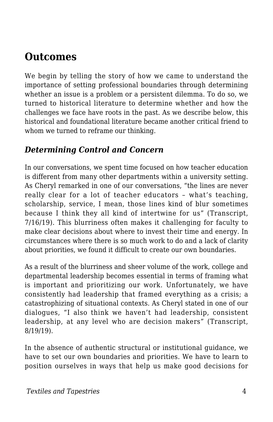### **Outcomes**

We begin by telling the story of how we came to understand the importance of setting professional boundaries through determining whether an issue is a problem or a persistent dilemma. To do so, we turned to historical literature to determine whether and how the challenges we face have roots in the past. As we describe below, this historical and foundational literature became another critical friend to whom we turned to reframe our thinking.

#### *Determining Control and Concern*

In our conversations, we spent time focused on how teacher education is different from many other departments within a university setting. As Cheryl remarked in one of our conversations, "the lines are never really clear for a lot of teacher educators – what's teaching, scholarship, service, I mean, those lines kind of blur sometimes because I think they all kind of intertwine for us" (Transcript, 7/16/19). This blurriness often makes it challenging for faculty to make clear decisions about where to invest their time and energy. In circumstances where there is so much work to do and a lack of clarity about priorities, we found it difficult to create our own boundaries.

As a result of the blurriness and sheer volume of the work, college and departmental leadership becomes essential in terms of framing what is important and prioritizing our work. Unfortunately, we have consistently had leadership that framed everything as a crisis; a catastrophizing of situational contexts. As Cheryl stated in one of our dialogues, "I also think we haven't had leadership, consistent leadership, at any level who are decision makers" (Transcript, 8/19/19).

In the absence of authentic structural or institutional guidance, we have to set our own boundaries and priorities. We have to learn to position ourselves in ways that help us make good decisions for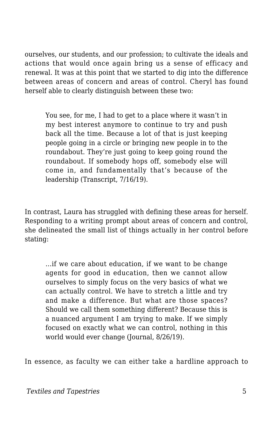ourselves, our students, and our profession; to cultivate the ideals and actions that would once again bring us a sense of efficacy and renewal. It was at this point that we started to dig into the difference between areas of concern and areas of control. Cheryl has found herself able to clearly distinguish between these two:

You see, for me, I had to get to a place where it wasn't in my best interest anymore to continue to try and push back all the time. Because a lot of that is just keeping people going in a circle or bringing new people in to the roundabout. They're just going to keep going round the roundabout. If somebody hops off, somebody else will come in, and fundamentally that's because of the leadership (Transcript, 7/16/19).

In contrast, Laura has struggled with defining these areas for herself. Responding to a writing prompt about areas of concern and control, she delineated the small list of things actually in her control before stating:

…if we care about education, if we want to be change agents for good in education, then we cannot allow ourselves to simply focus on the very basics of what we can actually control. We have to stretch a little and try and make a difference. But what are those spaces? Should we call them something different? Because this is a nuanced argument I am trying to make. If we simply focused on exactly what we can control, nothing in this world would ever change (Journal, 8/26/19).

In essence, as faculty we can either take a hardline approach to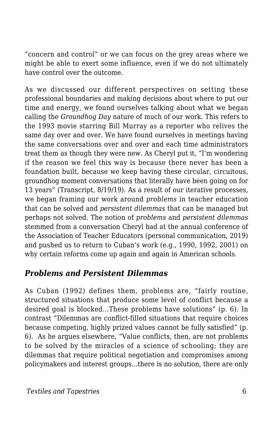"concern and control" or we can focus on the grey areas where we might be able to exert some influence, even if we do not ultimately have control over the outcome.

As we discussed our different perspectives on setting these professional boundaries and making decisions about where to put our time and energy, we found ourselves talking about what we began calling the *Groundhog Day* nature of much of our work. This refers to the 1993 movie starring Bill Murray as a reporter who relives the same day over and over. We have found ourselves in meetings having the same conversations over and over and each time administrators treat them as though they were new. As Cheryl put it, "I'm wondering if the reason we feel this way is because there never has been a foundation built, because we keep having these circular, circuitous, groundhog moment conversations that literally have been going on for 13 years" (Transcript, 8/19/19). As a result of our iterative processes, we began framing our work around *problems* in teacher education that can be solved and *persistent dilemmas* that can be managed but perhaps not solved. The notion of *problems* and *persistent dilemmas* stemmed from a conversation Cheryl had at the annual conference of the Association of Teacher Educators (personal communication, 2019) and pushed us to return to Cuban's work (e.g., 1990, 1992, 2001) on why certain reforms come up again and again in American schools.

#### *Problems and Persistent Dilemmas*

As Cuban (1992) defines them, problems are, "fairly routine, structured situations that produce some level of conflict because a desired goal is blocked…These problems have solutions" (p. 6). In contrast "Dilemmas are conflict-filled situations that require choices because competing, highly prized values cannot be fully satisfied" (p. 6). As he argues elsewhere, "Value conflicts, then, are not problems to be solved by the miracles of a science of schooling; they are dilemmas that require political negotiation and compromises among policymakers and interest groups…there is no solution, there are only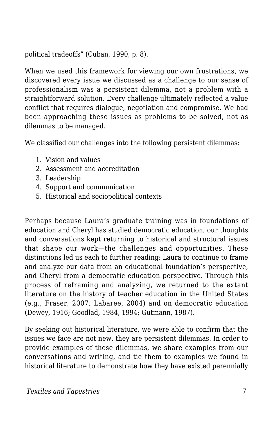political tradeoffs" (Cuban, 1990, p. 8).

When we used this framework for viewing our own frustrations, we discovered every issue we discussed as a challenge to our sense of professionalism was a persistent dilemma, not a problem with a straightforward solution. Every challenge ultimately reflected a value conflict that requires dialogue, negotiation and compromise. We had been approaching these issues as problems to be solved, not as dilemmas to be managed.

We classified our challenges into the following persistent dilemmas:

- 1. Vision and values
- 2. Assessment and accreditation
- 3. Leadership
- 4. Support and communication
- 5. Historical and sociopolitical contexts

Perhaps because Laura's graduate training was in foundations of education and Cheryl has studied democratic education, our thoughts and conversations kept returning to historical and structural issues that shape our work—the challenges and opportunities. These distinctions led us each to further reading: Laura to continue to frame and analyze our data from an educational foundation's perspective, and Cheryl from a democratic education perspective. Through this process of reframing and analyzing, we returned to the extant literature on the history of teacher education in the United States (e.g., Fraser, 2007; Labaree, 2004) and on democratic education (Dewey, 1916; Goodlad, 1984, 1994; Gutmann, 1987).

By seeking out historical literature, we were able to confirm that the issues we face are not new, they are persistent dilemmas. In order to provide examples of these dilemmas, we share examples from our conversations and writing, and tie them to examples we found in historical literature to demonstrate how they have existed perennially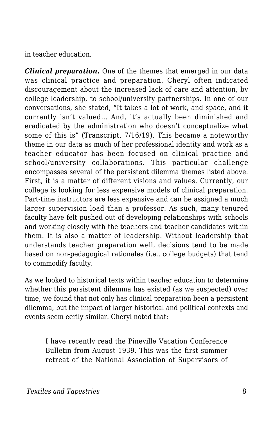in teacher education.

*Clinical preparation***.** One of the themes that emerged in our data was clinical practice and preparation. Cheryl often indicated discouragement about the increased lack of care and attention, by college leadership, to school/university partnerships. In one of our conversations, she stated, "It takes a lot of work, and space, and it currently isn't valued… And, it's actually been diminished and eradicated by the administration who doesn't conceptualize what some of this is" (Transcript, 7/16/19). This became a noteworthy theme in our data as much of her professional identity and work as a teacher educator has been focused on clinical practice and school/university collaborations. This particular challenge encompasses several of the persistent dilemma themes listed above. First, it is a matter of different visions and values. Currently, our college is looking for less expensive models of clinical preparation. Part-time instructors are less expensive and can be assigned a much larger supervision load than a professor. As such, many tenured faculty have felt pushed out of developing relationships with schools and working closely with the teachers and teacher candidates within them. It is also a matter of leadership. Without leadership that understands teacher preparation well, decisions tend to be made based on non-pedagogical rationales (i.e., college budgets) that tend to commodify faculty.

As we looked to historical texts within teacher education to determine whether this persistent dilemma has existed (as we suspected) over time, we found that not only has clinical preparation been a persistent dilemma, but the impact of larger historical and political contexts and events seem eerily similar. Cheryl noted that:

I have recently read the Pineville Vacation Conference Bulletin from August 1939. This was the first summer retreat of the National Association of Supervisors of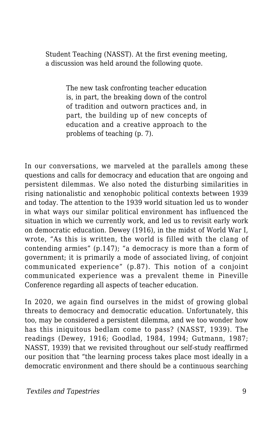Student Teaching (NASST). At the first evening meeting, a discussion was held around the following quote.

> The new task confronting teacher education is, in part, the breaking down of the control of tradition and outworn practices and, in part, the building up of new concepts of education and a creative approach to the problems of teaching (p. 7).

In our conversations, we marveled at the parallels among these questions and calls for democracy and education that are ongoing and persistent dilemmas. We also noted the disturbing similarities in rising nationalistic and xenophobic political contexts between 1939 and today. The attention to the 1939 world situation led us to wonder in what ways our similar political environment has influenced the situation in which we currently work, and led us to revisit early work on democratic education. Dewey (1916), in the midst of World War I, wrote, "As this is written, the world is filled with the clang of contending armies" (p.147); "a democracy is more than a form of government; it is primarily a mode of associated living, of conjoint communicated experience" (p.87). This notion of a conjoint communicated experience was a prevalent theme in Pineville Conference regarding all aspects of teacher education.

In 2020, we again find ourselves in the midst of growing global threats to democracy and democratic education. Unfortunately, this too, may be considered a persistent dilemma, and we too wonder how has this iniquitous bedlam come to pass? (NASST, 1939). The readings (Dewey, 1916; Goodlad, 1984, 1994; Gutmann, 1987; NASST, 1939) that we revisited throughout our self-study reaffirmed our position that "the learning process takes place most ideally in a democratic environment and there should be a continuous searching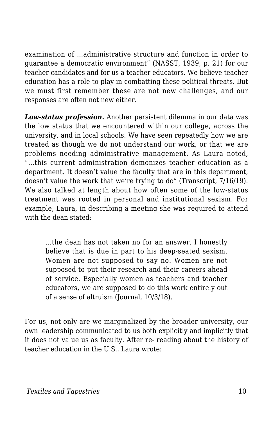examination of …administrative structure and function in order to guarantee a democratic environment" (NASST, 1939, p. 21) for our teacher candidates and for us a teacher educators. We believe teacher education has a role to play in combatting these political threats. But we must first remember these are not new challenges, and our responses are often not new either.

*Low-status profession***.** Another persistent dilemma in our data was the low status that we encountered within our college, across the university, and in local schools. We have seen repeatedly how we are treated as though we do not understand our work, or that we are problems needing administrative management. As Laura noted, "…this current administration demonizes teacher education as a department. It doesn't value the faculty that are in this department, doesn't value the work that we're trying to do" (Transcript, 7/16/19). We also talked at length about how often some of the low-status treatment was rooted in personal and institutional sexism. For example, Laura, in describing a meeting she was required to attend with the dean stated:

…the dean has not taken no for an answer. I honestly believe that is due in part to his deep-seated sexism. Women are not supposed to say no. Women are not supposed to put their research and their careers ahead of service. Especially women as teachers and teacher educators, we are supposed to do this work entirely out of a sense of altruism (Journal, 10/3/18).

For us, not only are we marginalized by the broader university, our own leadership communicated to us both explicitly and implicitly that it does not value us as faculty. After re- reading about the history of teacher education in the U.S., Laura wrote: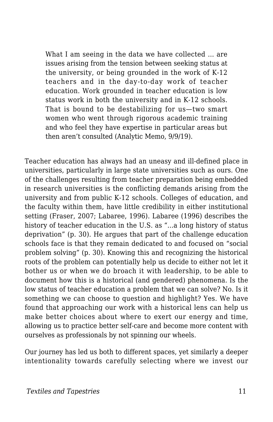What I am seeing in the data we have collected … are issues arising from the tension between seeking status at the university, or being grounded in the work of K-12 teachers and in the day-to-day work of teacher education. Work grounded in teacher education is low status work in both the university and in K-12 schools. That is bound to be destabilizing for us—two smart women who went through rigorous academic training and who feel they have expertise in particular areas but then aren't consulted (Analytic Memo, 9/9/19).

Teacher education has always had an uneasy and ill-defined place in universities, particularly in large state universities such as ours. One of the challenges resulting from teacher preparation being embedded in research universities is the conflicting demands arising from the university and from public K-12 schools. Colleges of education, and the faculty within them, have little credibility in either institutional setting (Fraser, 2007; Labaree, 1996). Labaree (1996) describes the history of teacher education in the U.S. as "...a long history of status deprivation" (p. 30). He argues that part of the challenge education schools face is that they remain dedicated to and focused on "social problem solving" (p. 30). Knowing this and recognizing the historical roots of the problem can potentially help us decide to either not let it bother us or when we do broach it with leadership, to be able to document how this is a historical (and gendered) phenomena. Is the low status of teacher education a problem that we can solve? No. Is it something we can choose to question and highlight? Yes. We have found that approaching our work with a historical lens can help us make better choices about where to exert our energy and time, allowing us to practice better self-care and become more content with ourselves as professionals by not spinning our wheels.

Our journey has led us both to different spaces, yet similarly a deeper intentionality towards carefully selecting where we invest our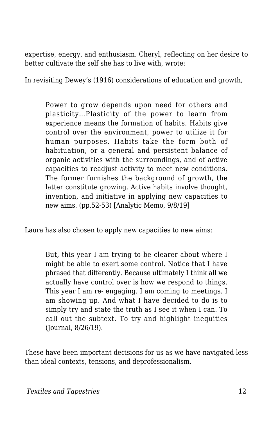expertise, energy, and enthusiasm. Cheryl, reflecting on her desire to better cultivate the self she has to live with, wrote:

In revisiting Dewey's (1916) considerations of education and growth,

Power to grow depends upon need for others and plasticity…Plasticity of the power to learn from experience means the formation of habits. Habits give control over the environment, power to utilize it for human purposes. Habits take the form both of habituation, or a general and persistent balance of organic activities with the surroundings, and of active capacities to readjust activity to meet new conditions. The former furnishes the background of growth, the latter constitute growing. Active habits involve thought, invention, and initiative in applying new capacities to new aims. (pp.52-53) [Analytic Memo, 9/8/19]

Laura has also chosen to apply new capacities to new aims:

But, this year I am trying to be clearer about where I might be able to exert some control. Notice that I have phrased that differently. Because ultimately I think all we actually have control over is how we respond to things. This year I am re- engaging. I am coming to meetings. I am showing up. And what I have decided to do is to simply try and state the truth as I see it when I can. To call out the subtext. To try and highlight inequities (Journal, 8/26/19).

These have been important decisions for us as we have navigated less than ideal contexts, tensions, and deprofessionalism.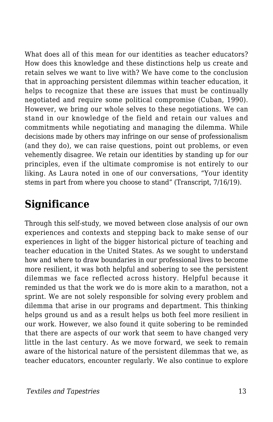What does all of this mean for our identities as teacher educators? How does this knowledge and these distinctions help us create and retain selves we want to live with? We have come to the conclusion that in approaching persistent dilemmas within teacher education, it helps to recognize that these are issues that must be continually negotiated and require some political compromise (Cuban, 1990). However, we bring our whole selves to these negotiations. We can stand in our knowledge of the field and retain our values and commitments while negotiating and managing the dilemma. While decisions made by others may infringe on our sense of professionalism (and they do), we can raise questions, point out problems, or even vehemently disagree. We retain our identities by standing up for our principles, even if the ultimate compromise is not entirely to our liking. As Laura noted in one of our conversations, "Your identity stems in part from where you choose to stand" (Transcript, 7/16/19).

# **Significance**

Through this self-study, we moved between close analysis of our own experiences and contexts and stepping back to make sense of our experiences in light of the bigger historical picture of teaching and teacher education in the United States. As we sought to understand how and where to draw boundaries in our professional lives to become more resilient, it was both helpful and sobering to see the persistent dilemmas we face reflected across history. Helpful because it reminded us that the work we do is more akin to a marathon, not a sprint. We are not solely responsible for solving every problem and dilemma that arise in our programs and department. This thinking helps ground us and as a result helps us both feel more resilient in our work. However, we also found it quite sobering to be reminded that there are aspects of our work that seem to have changed very little in the last century. As we move forward, we seek to remain aware of the historical nature of the persistent dilemmas that we, as teacher educators, encounter regularly. We also continue to explore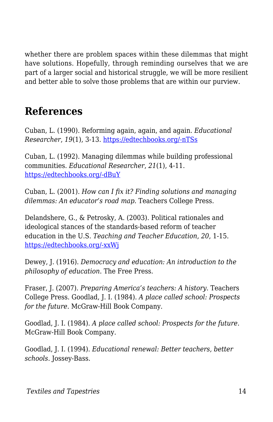whether there are problem spaces within these dilemmas that might have solutions. Hopefully, through reminding ourselves that we are part of a larger social and historical struggle, we will be more resilient and better able to solve those problems that are within our purview.

# **References**

Cuban, L. (1990). Reforming again, again, and again. *Educational Researcher*, *19*(1), 3-13. [https://edtechbooks.org/-nTSs](https://doi.org/10.3102%2F0013189X019001003)

Cuban, L. (1992). Managing dilemmas while building professional communities. *Educational Researcher*, *21*(1), 4-11. [https://edtechbooks.org/-dBuY](https://doi.org/10.3102%2F0013189X021001004)

Cuban, L. (2001). *How can I fix it? Finding solutions and managing dilemmas: An educator's road map.* Teachers College Press.

Delandshere, G., & Petrosky, A. (2003). Political rationales and ideological stances of the standards-based reform of teacher education in the U.S. *Teaching and Teacher Education*, *20*, 1-15. [https://edtechbooks.org/-xxWj](https://psycnet.apa.org/doi/10.1016/j.tate.2003.09.002)

Dewey, J. (1916). *Democracy and education: An introduction to the philosophy of education*. The Free Press.

Fraser, J. (2007). *Preparing America's teachers: A history*. Teachers College Press. Goodlad, J. I. (1984). *A place called school: Prospects for the future*. McGraw-Hill Book Company.

Goodlad, J. I. (1984). *A place called school: Prospects for the future*. McGraw-Hill Book Company.

Goodlad, J. I. (1994). *Educational renewal: Better teachers, better schools*. Jossey-Bass.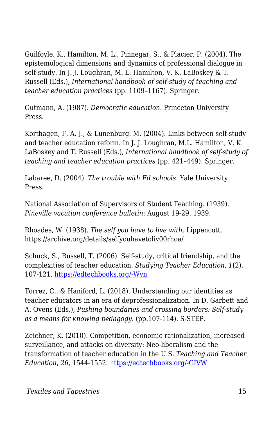Guilfoyle, K., Hamilton, M. L., Pinnegar, S., & Placier, P. (2004). The epistemological dimensions and dynamics of professional dialogue in self-study. In J. J. Loughran, M. L. Hamilton, V. K. LaBoskey & T. Russell (Eds.), *International handbook of self-study of teaching and teacher education practices* (pp. 1109–1167). Springer.

Gutmann, A. (1987). *Democratic education*. Princeton University Press.

Korthagen, F. A. J., & Lunenburg. M. (2004). Links between self-study and teacher education reform. In J. J. Loughran, M.L. Hamilton, V. K. LaBoskey and T. Russell (Eds.), *International handbook of self-study of teaching and teacher education practices* (pp. 421–449). Springer.

Labaree, D. (2004). *The trouble with Ed schools*. Yale University Press.

National Association of Supervisors of Student Teaching. (1939). *Pineville vacation conference bulletin*: August 19-29, 1939.

Rhoades, W. (1938). *The self you have to live with.* Lippencott. https://archive.org/details/selfyouhavetoliv00rhoa/

Schuck, S., Russell, T. (2006). Self-study, critical friendship, and the complexities of teacher education. *Studying Teacher Education*, *1*(2), 107-121. [https://edtechbooks.org/-Wvn](https://doi.org/10.1080/17425960500288291)

Torrez, C., & Haniford, L. (2018). Understanding our identities as teacher educators in an era of deprofessionalization. In D. Garbett and A. Ovens (Eds.), *Pushing boundaries and crossing borders: Self-study as a means for knowing pedagogy*. (pp.107-114). S-STEP.

Zeichner, K. (2010). Competition, economic rationalization, increased surveillance, and attacks on diversity: Neo-liberalism and the transformation of teacher education in the U.S. *Teaching and Teacher Education*, *26*, 1544-1552. [https://edtechbooks.org/-GIVW](https://doi.org/10.1016/j.tate.2010.06.004)